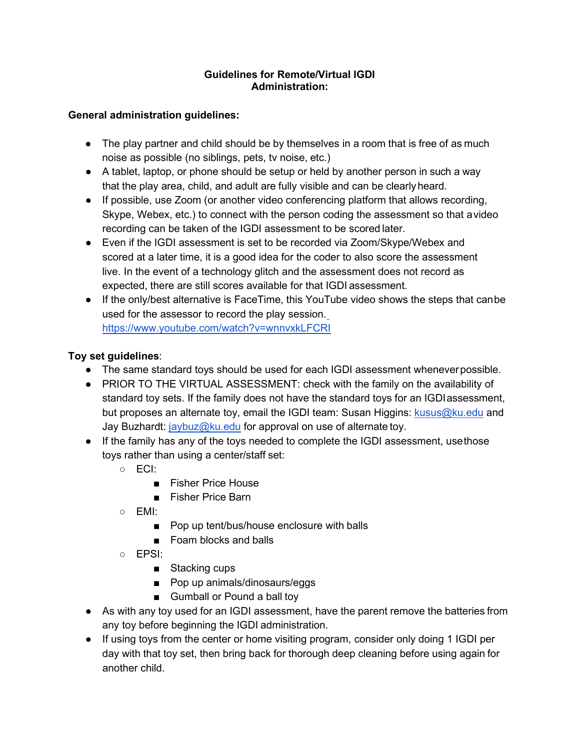## **Guidelines for Remote/Virtual IGDI Administration:**

## **General administration guidelines:**

- The play partner and child should be by themselves in a room that is free of as much noise as possible (no siblings, pets, tv noise, etc.)
- A tablet, laptop, or phone should be setup or held by another person in such a way that the play area, child, and adult are fully visible and can be clearlyheard.
- If possible, use Zoom (or another video conferencing platform that allows recording, Skype, Webex, etc.) to connect with the person coding the assessment so that avideo recording can be taken of the IGDI assessment to be scored later.
- Even if the IGDI assessment is set to be recorded via Zoom/Skype/Webex and scored at a later time, it is a good idea for the coder to also score the assessment live. In the event of a technology glitch and the assessment does not record as expected, there are still scores available for that IGDI assessment.
- If the only/best alternative is FaceTime, this YouTube video shows the steps that canbe used for the assessor to record the play session. <https://www.youtube.com/watch?v=wnnvxkLFCRI>

## **Toy set guidelines**:

- The same standard toys should be used for each IGDI assessment wheneverpossible.
- PRIOR TO THE VIRTUAL ASSESSMENT: check with the family on the availability of standard toy sets. If the family does not have the standard toys for an IGDIassessment, but proposes an alternate toy, email the IGDI team: Susan Higgins: [kusus@ku.edu](mailto:kusus@ku.edu) and Jay Buzhardt:  $i$ aybuz@ku.edu for approval on use of alternate toy.
- If the family has any of the toys needed to complete the IGDI assessment, usethose toys rather than using a center/staff set:
	- ECI:
		- Fisher Price House
		- Fisher Price Barn
	- EMI:
		- Pop up tent/bus/house enclosure with balls
		- Foam blocks and balls
	- $\circ$  FPSI $\cdot$ 
		- Stacking cups
		- Pop up animals/dinosaurs/eggs
		- Gumball or Pound a ball toy
- As with any toy used for an IGDI assessment, have the parent remove the batteries from any toy before beginning the IGDI administration.
- If using toys from the center or home visiting program, consider only doing 1 IGDI per day with that toy set, then bring back for thorough deep cleaning before using again for another child.